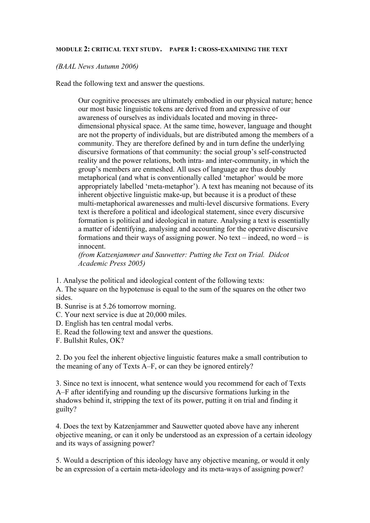## **MODULE 2: CRITICAL TEXT STUDY. PAPER 1: CROSS-EXAMINING THE TEXT**

*(BAAL News Autumn 2006)*

Read the following text and answer the questions.

Our cognitive processes are ultimately embodied in our physical nature; hence our most basic linguistic tokens are derived from and expressive of our awareness of ourselves as individuals located and moving in threedimensional physical space. At the same time, however, language and thought are not the property of individuals, but are distributed among the members of a community. They are therefore defined by and in turn define the underlying discursive formations of that community: the social group's self-constructed reality and the power relations, both intra- and inter-community, in which the group's members are enmeshed. All uses of language are thus doubly metaphorical (and what is conventionally called 'metaphor' would be more appropriately labelled 'meta-metaphor'). A text has meaning not because of its inherent objective linguistic make-up, but because it is a product of these multi-metaphorical awarenesses and multi-level discursive formations. Every text is therefore a political and ideological statement, since every discursive formation is political and ideological in nature. Analysing a text is essentially a matter of identifying, analysing and accounting for the operative discursive formations and their ways of assigning power. No text – indeed, no word – is innocent.

*(from Katzenjammer and Sauwetter: Putting the Text on Trial. Didcot Academic Press 2005)*

1. Analyse the political and ideological content of the following texts:

A. The square on the hypotenuse is equal to the sum of the squares on the other two sides.

- B. Sunrise is at 5.26 tomorrow morning.
- C. Your next service is due at 20,000 miles.
- D. English has ten central modal verbs.
- E. Read the following text and answer the questions.
- F. Bullshit Rules, OK?

2. Do you feel the inherent objective linguistic features make a small contribution to the meaning of any of Texts A–F, or can they be ignored entirely?

3. Since no text is innocent, what sentence would you recommend for each of Texts A–F after identifying and rounding up the discursive formations lurking in the shadows behind it, stripping the text of its power, putting it on trial and finding it guilty?

4. Does the text by Katzenjammer and Sauwetter quoted above have any inherent objective meaning, or can it only be understood as an expression of a certain ideology and its ways of assigning power?

5. Would a description of this ideology have any objective meaning, or would it only be an expression of a certain meta-ideology and its meta-ways of assigning power?